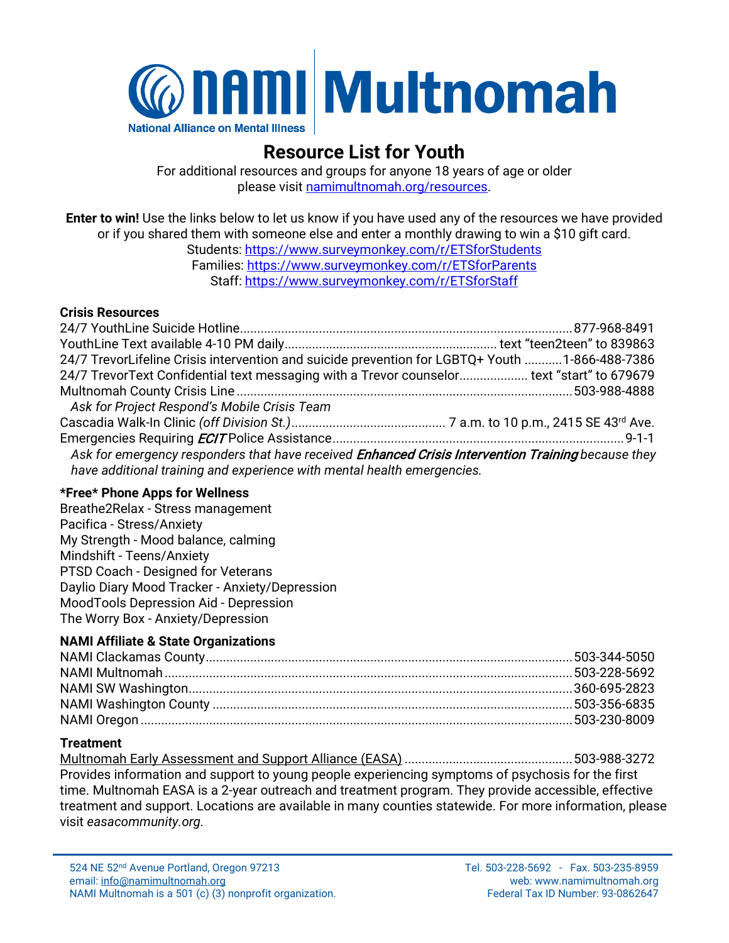

### **Resource List for Youth**

For additional resources and groups for anyone 18 years of age or older please visit [namimultnomah.org/resources.](mailto:namimultnomah.org/resources)

**Enter to win!** Use the links below to let us know if you have used any of the resources we have provided or if you shared them with someone else and enter a monthly drawing to win a \$10 gift card.

Students:<https://www.surveymonkey.com/r/ETSforStudents> Families:<https://www.surveymonkey.com/r/ETSforParents> Staff:<https://www.surveymonkey.com/r/ETSforStaff>

#### **Crisis Resources**

| 24/7 TrevorLifeline Crisis intervention and suicide prevention for LGBTQ+ Youth 1-866-488-7386     |  |
|----------------------------------------------------------------------------------------------------|--|
| 24/7 TrevorText Confidential text messaging with a Trevor counselor text "start" to 679679         |  |
|                                                                                                    |  |
| Ask for Project Respond's Mobile Crisis Team                                                       |  |
|                                                                                                    |  |
|                                                                                                    |  |
| Ask for emergency responders that have received Enhanced Crisis Intervention Training because they |  |
| have additional training and experience with mental health emergencies.                            |  |

#### **\*Free\* Phone Apps for Wellness**

Breathe2Relax - Stress management Pacifica - Stress/Anxiety My Strength - Mood balance, calming Mindshift - Teens/Anxiety PTSD Coach - Designed for Veterans Daylio Diary Mood Tracker - Anxiety/Depression MoodTools Depression Aid - Depression The Worry Box - Anxiety/Depression

#### **NAMI Affiliate & State Organizations**

#### **Treatment**

Multnomah Early Assessment and Support Alliance (EASA).................................................503-988-3272 Provides information and support to young people experiencing symptoms of psychosis for the first time. Multnomah EASA is a 2-year outreach and treatment program. They provide accessible, effective treatment and support. Locations are available in many counties statewide. For more information, please visit *easacommunity.org.*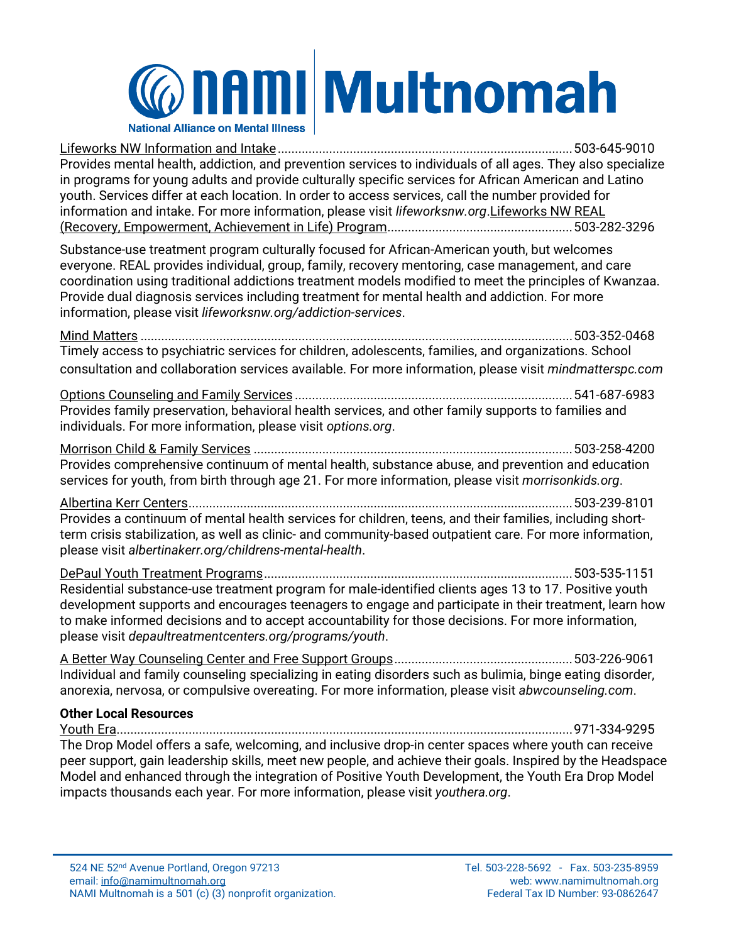## **@naml** Multnomah **National Alliance on Mental Illness**

Lifeworks NW Information and Intake......................................................................................503-645-9010 Provides mental health, addiction, and prevention services to individuals of all ages. They also specialize in programs for young adults and provide culturally specific services for African American and Latino youth. Services differ at each location. In order to access services, call the number provided for information and intake. For more information, please visit *lifeworksnw.org*.Lifeworks NW REAL (Recovery, Empowerment, Achievement in Life) Program......................................................503-282-3296

Substance-use treatment program culturally focused for African-American youth, but welcomes everyone. REAL provides individual, group, family, recovery mentoring, case management, and care coordination using traditional addictions treatment models modified to meet the principles of Kwanzaa. Provide dual diagnosis services including treatment for mental health and addiction. For more information, please visit *lifeworksnw.org/addiction-services*.

Mind Matters ..............................................................................................................................503-352-0468 Timely access to psychiatric services for children, adolescents, families, and organizations. School consultation and collaboration services available. For more information, please visit *mindmatterspc.com*

Options Counseling and Family Services .................................................................................541-687-6983 Provides family preservation, behavioral health services, and other family supports to families and individuals. For more information, please visit *options.org*.

Morrison Child & Family Services .............................................................................................503-258-4200 Provides comprehensive continuum of mental health, substance abuse, and prevention and education services for youth, from birth through age 21. For more information, please visit *morrisonkids.org*.

Albertina Kerr Centers................................................................................................................503-239-8101 Provides a continuum of mental health services for children, teens, and their families, including shortterm crisis stabilization, as well as clinic- and community-based outpatient care. For more information, please visit *albertinakerr.org/childrens-mental-health*.

DePaul Youth Treatment Programs..........................................................................................503-535-1151 Residential substance-use treatment program for male-identified clients ages 13 to 17. Positive youth development supports and encourages teenagers to engage and participate in their treatment, learn how to make informed decisions and to accept accountability for those decisions. For more information, please visit *depaultreatmentcenters.org/programs/youth*.

A Better Way Counseling Center and Free Support Groups....................................................503-226-9061 Individual and family counseling specializing in eating disorders such as bulimia, binge eating disorder, anorexia, nervosa, or compulsive overeating. For more information, please visit *abwcounseling.com*.

#### **Other Local Resources**

Youth Era.....................................................................................................................................971-334-9295 The Drop Model offers a safe, welcoming, and inclusive drop-in center spaces where youth can receive peer support, gain leadership skills, meet new people, and achieve their goals. Inspired by the Headspace Model and enhanced through the integration of Positive Youth Development, the Youth Era Drop Model impacts thousands each year. For more information, please visit *youthera.org*.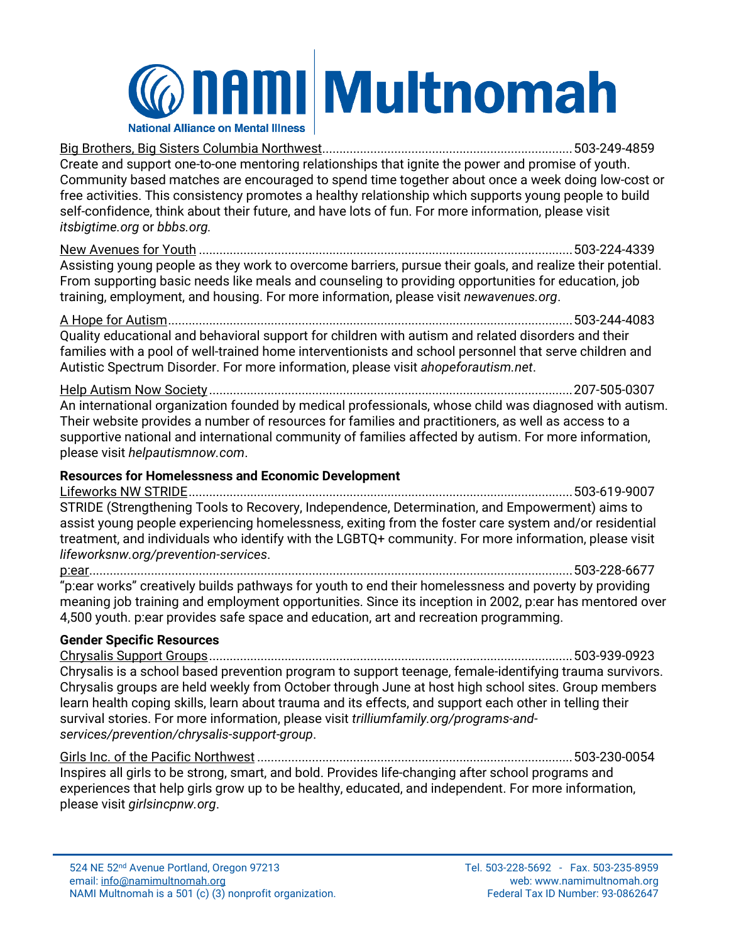### **@nami Multnomah National Alliance on Mental Illness**

Big Brothers, Big Sisters Columbia Northwest.........................................................................503-249-4859 Create and support one-to-one mentoring relationships that ignite the power and promise of youth. Community based matches are encouraged to spend time together about once a week doing low-cost or free activities. This consistency promotes a healthy relationship which supports young people to build self-confidence, think about their future, and have lots of fun. For more information, please visit *itsbigtime.org* or *bbbs.org.*

New Avenues for Youth .............................................................................................................503-224-4339 Assisting young people as they work to overcome barriers, pursue their goals, and realize their potential. From supporting basic needs like meals and counseling to providing opportunities for education, job training, employment, and housing. For more information, please visit *newavenues.org*.

A Hope for Autism......................................................................................................................503-244-4083 Quality educational and behavioral support for children with autism and related disorders and their families with a pool of well-trained home interventionists and school personnel that serve children and Autistic Spectrum Disorder. For more information, please visit *ahopeforautism.net*.

Help Autism Now Society ..........................................................................................................207-505-0307 An international organization founded by medical professionals, whose child was diagnosed with autism. Their website provides a number of resources for families and practitioners, as well as access to a supportive national and international community of families affected by autism. For more information, please visit *helpautismnow.com*.

#### **Resources for Homelessness and Economic Development**

Lifeworks NW STRIDE................................................................................................................503-619-9007 STRIDE (Strengthening Tools to Recovery, Independence, Determination, and Empowerment) aims to assist young people experiencing homelessness, exiting from the foster care system and/or residential treatment, and individuals who identify with the LGBTQ+ community. For more information, please visit *lifeworksnw.org/prevention-services*.

p:ear.............................................................................................................................................503-228-6677 "p:ear works" creatively builds pathways for youth to end their homelessness and poverty by providing meaning job training and employment opportunities. Since its inception in 2002, p:ear has mentored over 4,500 youth. p:ear provides safe space and education, art and recreation programming.

#### **Gender Specific Resources**

Chrysalis Support Groups..........................................................................................................503-939-0923 Chrysalis is a school based prevention program to support teenage, female-identifying trauma survivors. Chrysalis groups are held weekly from October through June at host high school sites. Group members learn health coping skills, learn about trauma and its effects, and support each other in telling their survival stories. For more information, please visit *trilliumfamily.org/programs-andservices/prevention/chrysalis-support-group*.

Girls Inc. of the Pacific Northwest ............................................................................................503-230-0054 Inspires all girls to be strong, smart, and bold. Provides life-changing after school programs and experiences that help girls grow up to be healthy, educated, and independent. For more information, please visit *girlsincpnw.org*.